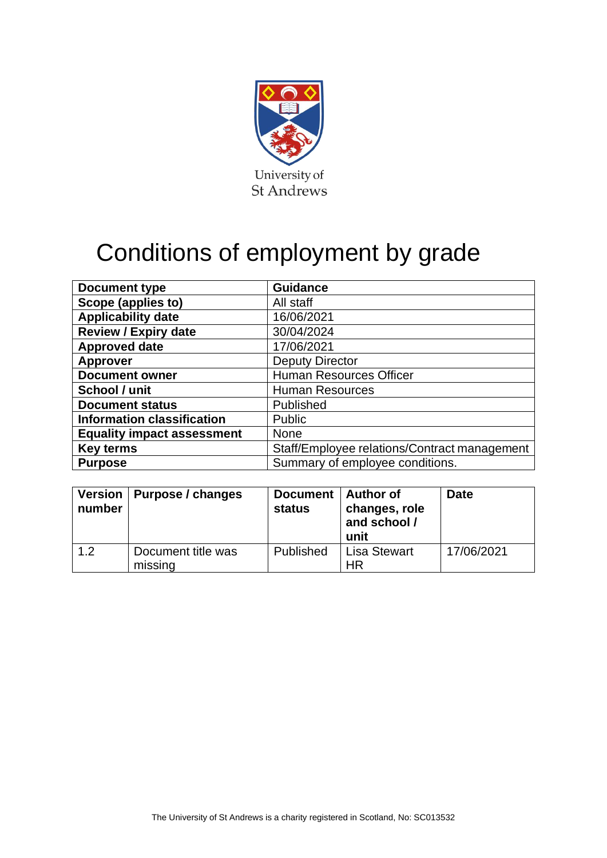

## Conditions of employment by grade

| <b>Document type</b>              | <b>Guidance</b>                              |
|-----------------------------------|----------------------------------------------|
| Scope (applies to)                | All staff                                    |
| <b>Applicability date</b>         | 16/06/2021                                   |
| <b>Review / Expiry date</b>       | 30/04/2024                                   |
| <b>Approved date</b>              | 17/06/2021                                   |
| <b>Approver</b>                   | <b>Deputy Director</b>                       |
| <b>Document owner</b>             | <b>Human Resources Officer</b>               |
| School / unit                     | <b>Human Resources</b>                       |
| <b>Document status</b>            | Published                                    |
| <b>Information classification</b> | Public                                       |
| <b>Equality impact assessment</b> | <b>None</b>                                  |
| <b>Key terms</b>                  | Staff/Employee relations/Contract management |
| <b>Purpose</b>                    | Summary of employee conditions.              |

| number | Version   Purpose / changes   | Document   Author of<br><b>status</b> | changes, role<br>and school /<br>unit | <b>Date</b> |
|--------|-------------------------------|---------------------------------------|---------------------------------------|-------------|
| 1.2    | Document title was<br>missing | <b>Published</b>                      | <b>Lisa Stewart</b><br>ΗR             | 17/06/2021  |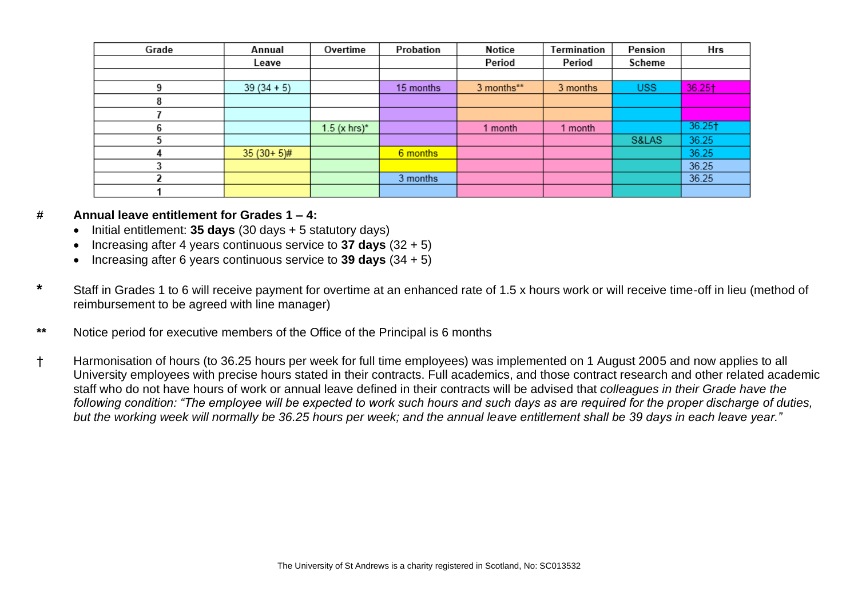| Grade | Annual       | Overtime       | Probation | <b>Notice</b> | Termination | Pension    | Hrs       |
|-------|--------------|----------------|-----------|---------------|-------------|------------|-----------|
|       | Leave        |                |           | Period        | Period      | Scheme     |           |
|       |              |                |           |               |             |            |           |
|       | $39(34+5)$   |                | 15 months | 3 months**    | 3 months    | <b>USS</b> | 36.25†    |
|       |              |                |           |               |             |            |           |
|       |              |                |           |               |             |            |           |
|       |              | $1.5$ (x hrs)* |           | month         | 1 month     |            | $36.25 +$ |
|       |              |                |           |               |             | S&LAS      | 36.25     |
|       | $35(30+5)$ # |                | 6 months  |               |             |            | 36.25     |
|       |              |                |           |               |             |            | 36.25     |
|       |              |                | 3 months  |               |             |            | 36.25     |
|       |              |                |           |               |             |            |           |

## **# Annual leave entitlement for Grades 1 – 4:**

- Initial entitlement: **35 days** (30 days + 5 statutory days)
- Increasing after 4 years continuous service to **37 days** (32 + 5)
- Increasing after 6 years continuous service to **39 days** (34 + 5)
- **\*** Staff in Grades 1 to 6 will receive payment for overtime at an enhanced rate of 1.5 x hours work or will receive time-off in lieu (method of reimbursement to be agreed with line manager)
- **\*\*** Notice period for executive members of the Office of the Principal is 6 months
- † Harmonisation of hours (to 36.25 hours per week for full time employees) was implemented on 1 August 2005 and now applies to all University employees with precise hours stated in their contracts. Full academics, and those contract research and other related academic staff who do not have hours of work or annual leave defined in their contracts will be advised that *colleagues in their Grade have the following condition: "The employee will be expected to work such hours and such days as are required for the proper discharge of duties, but the working week will normally be 36.25 hours per week; and the annual leave entitlement shall be 39 days in each leave year."*